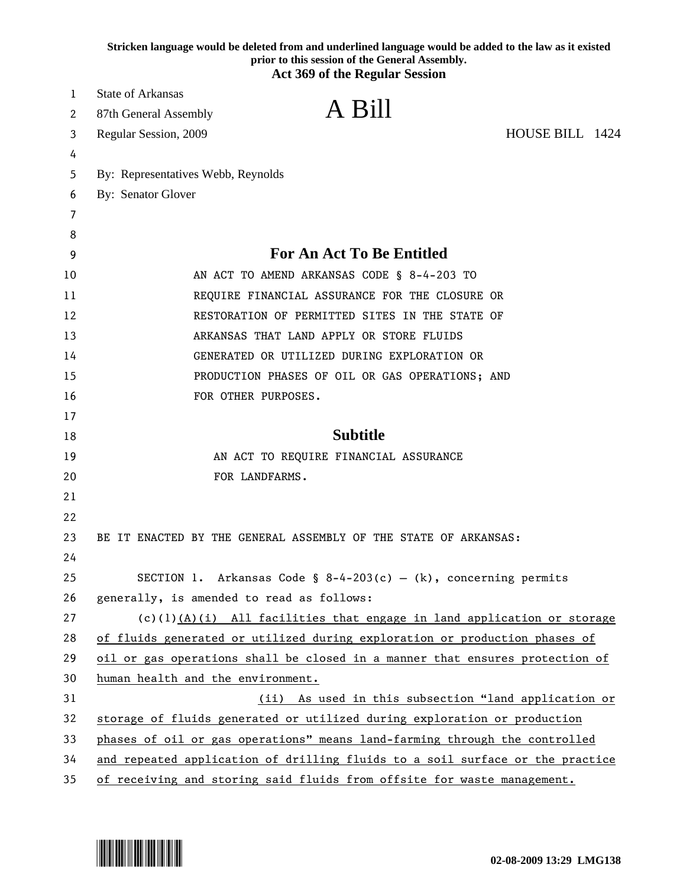|    | Stricken language would be deleted from and underlined language would be added to the law as it existed<br>prior to this session of the General Assembly.<br><b>Act 369 of the Regular Session</b> |  |
|----|----------------------------------------------------------------------------------------------------------------------------------------------------------------------------------------------------|--|
| 1  | State of Arkansas                                                                                                                                                                                  |  |
| 2  | A Bill<br>87th General Assembly                                                                                                                                                                    |  |
| 3  | HOUSE BILL 1424<br>Regular Session, 2009                                                                                                                                                           |  |
| 4  |                                                                                                                                                                                                    |  |
| 5  | By: Representatives Webb, Reynolds                                                                                                                                                                 |  |
| 6  | By: Senator Glover                                                                                                                                                                                 |  |
| 7  |                                                                                                                                                                                                    |  |
| 8  |                                                                                                                                                                                                    |  |
| 9  | For An Act To Be Entitled                                                                                                                                                                          |  |
| 10 | AN ACT TO AMEND ARKANSAS CODE § 8-4-203 TO                                                                                                                                                         |  |
| 11 | REQUIRE FINANCIAL ASSURANCE FOR THE CLOSURE OR                                                                                                                                                     |  |
| 12 | RESTORATION OF PERMITTED SITES IN THE STATE OF                                                                                                                                                     |  |
| 13 | ARKANSAS THAT LAND APPLY OR STORE FLUIDS                                                                                                                                                           |  |
| 14 | GENERATED OR UTILIZED DURING EXPLORATION OR                                                                                                                                                        |  |
| 15 | PRODUCTION PHASES OF OIL OR GAS OPERATIONS; AND                                                                                                                                                    |  |
| 16 | FOR OTHER PURPOSES.                                                                                                                                                                                |  |
| 17 |                                                                                                                                                                                                    |  |
| 18 | <b>Subtitle</b>                                                                                                                                                                                    |  |
| 19 | AN ACT TO REQUIRE FINANCIAL ASSURANCE                                                                                                                                                              |  |
| 20 | FOR LANDFARMS.                                                                                                                                                                                     |  |
| 21 |                                                                                                                                                                                                    |  |
| 22 |                                                                                                                                                                                                    |  |
| 23 | BE IT ENACTED BY THE GENERAL ASSEMBLY OF THE STATE OF ARKANSAS:                                                                                                                                    |  |
| 24 |                                                                                                                                                                                                    |  |
| 25 | SECTION 1. Arkansas Code § 8-4-203(c) - (k), concerning permits                                                                                                                                    |  |
| 26 | generally, is amended to read as follows:                                                                                                                                                          |  |
| 27 | $(c)(1)(A)(i)$ All facilities that engage in land application or storage                                                                                                                           |  |
| 28 | of fluids generated or utilized during exploration or production phases of                                                                                                                         |  |
| 29 | oil or gas operations shall be closed in a manner that ensures protection of                                                                                                                       |  |
| 30 | human health and the environment.                                                                                                                                                                  |  |
| 31 | (ii) As used in this subsection "land application or                                                                                                                                               |  |
| 32 | storage of fluids generated or utilized during exploration or production                                                                                                                           |  |
| 33 | phases of oil or gas operations" means land-farming through the controlled                                                                                                                         |  |
| 34 | and repeated application of drilling fluids to a soil surface or the practice                                                                                                                      |  |
| 35 | of receiving and storing said fluids from offsite for waste management.                                                                                                                            |  |

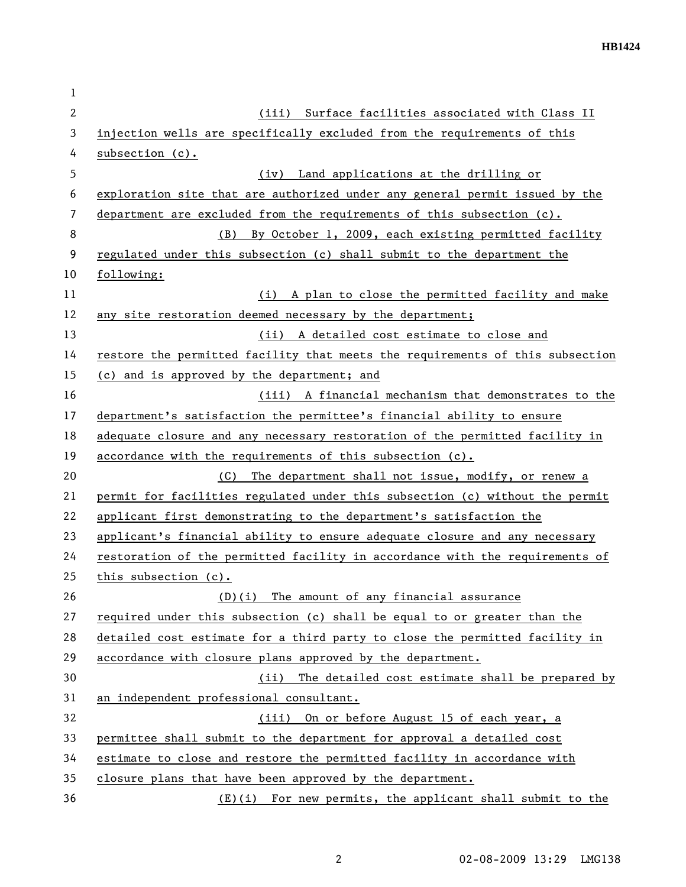| 1            |                                                                               |
|--------------|-------------------------------------------------------------------------------|
| $\mathbf{2}$ | Surface facilities associated with Class II<br>(iii)                          |
| 3            | injection wells are specifically excluded from the requirements of this       |
| 4            | subsection (c).                                                               |
| 5            | (iv) Land applications at the drilling or                                     |
| 6            | exploration site that are authorized under any general permit issued by the   |
| 7            | department are excluded from the requirements of this subsection (c).         |
| 8            | (B) By October 1, 2009, each existing permitted facility                      |
| 9            | regulated under this subsection (c) shall submit to the department the        |
| 10           | following:                                                                    |
| 11           | (i) A plan to close the permitted facility and make                           |
| 12           | any site restoration deemed necessary by the department;                      |
| 13           | (ii) A detailed cost estimate to close and                                    |
| 14           | restore the permitted facility that meets the requirements of this subsection |
| 15           | (c) and is approved by the department; and                                    |
| 16           | (iii) A financial mechanism that demonstrates to the                          |
| 17           | department's satisfaction the permittee's financial ability to ensure         |
| 18           | adequate closure and any necessary restoration of the permitted facility in   |
| 19           | accordance with the requirements of this subsection $(c)$ .                   |
| 20           | The department shall not issue, modify, or renew a<br>(C)                     |
| 21           | permit for facilities regulated under this subsection (c) without the permit  |
| 22           | applicant first demonstrating to the department's satisfaction the            |
| 23           | applicant's financial ability to ensure adequate closure and any necessary    |
| 24           | restoration of the permitted facility in accordance with the requirements of  |
| 25           | this subsection (c).                                                          |
| 26           | (D)(i) The amount of any financial assurance                                  |
| 27           | required under this subsection (c) shall be equal to or greater than the      |
| 28           | detailed cost estimate for a third party to close the permitted facility in   |
| 29           | accordance with closure plans approved by the department.                     |
| 30           | The detailed cost estimate shall be prepared by<br>(ii)                       |
| 31           | an independent professional consultant.                                       |
| 32           | (iii) On or before August 15 of each year, a                                  |
| 33           | permittee shall submit to the department for approval a detailed cost         |
| 34           | estimate to close and restore the permitted facility in accordance with       |
| 35           | closure plans that have been approved by the department.                      |
| 36           | $(E)(i)$ For new permits, the applicant shall submit to the                   |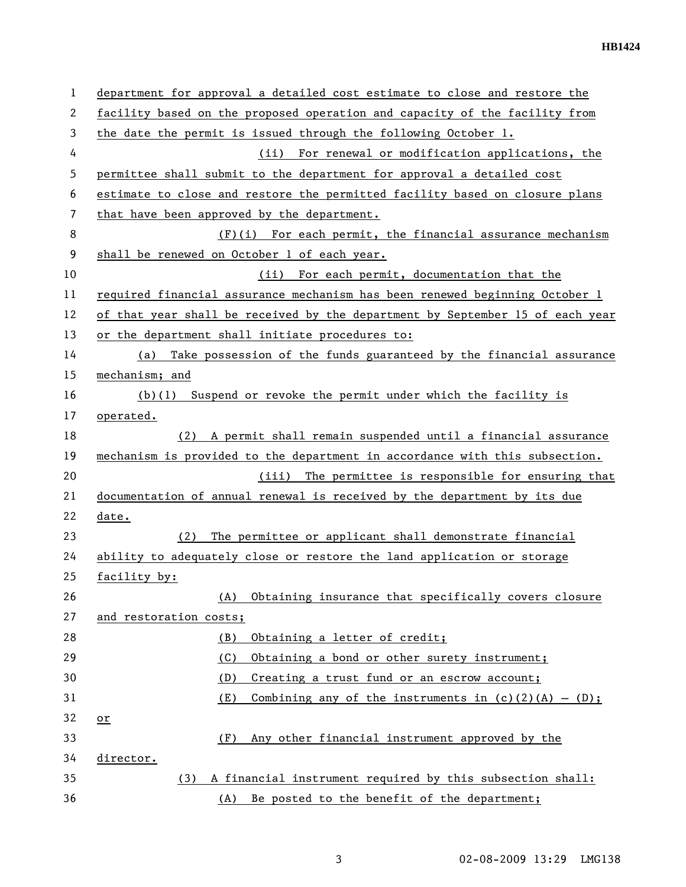| 1  | department for approval a detailed cost estimate to close and restore the     |
|----|-------------------------------------------------------------------------------|
| 2  | facility based on the proposed operation and capacity of the facility from    |
| 3  | the date the permit is issued through the following October 1.                |
| 4  | (ii) For renewal or modification applications, the                            |
| 5  | permittee shall submit to the department for approval a detailed cost         |
| 6  | estimate to close and restore the permitted facility based on closure plans   |
| 7  | that have been approved by the department.                                    |
| 8  | $(F)(i)$ For each permit, the financial assurance mechanism                   |
| 9  | shall be renewed on October 1 of each year.                                   |
| 10 | (ii) For each permit, documentation that the                                  |
| 11 | required financial assurance mechanism has been renewed beginning October 1   |
| 12 | of that year shall be received by the department by September 15 of each year |
| 13 | or the department shall initiate procedures to:                               |
| 14 | Take possession of the funds guaranteed by the financial assurance<br>(a)     |
| 15 | mechanism; and                                                                |
| 16 | (b)(1) Suspend or revoke the permit under which the facility is               |
| 17 | operated.                                                                     |
| 18 | (2) A permit shall remain suspended until a financial assurance               |
| 19 | mechanism is provided to the department in accordance with this subsection.   |
| 20 | (iii) The permittee is responsible for ensuring that                          |
| 21 | documentation of annual renewal is received by the department by its due      |
| 22 | date.                                                                         |
| 23 | The permittee or applicant shall demonstrate financial<br>(2)                 |
| 24 | ability to adequately close or restore the land application or storage        |
| 25 | facility by:                                                                  |
| 26 | Obtaining insurance that specifically covers closure<br>(A)                   |
| 27 | and restoration costs;                                                        |
| 28 | Obtaining a letter of credit;<br>(B)                                          |
| 29 | (C)<br>Obtaining a bond or other surety instrument;                           |
| 30 | Creating a trust fund or an escrow account;<br>(D)                            |
| 31 | (E)<br>Combining any of the instruments in $(c)(2)(A) - (D)$ ;                |
| 32 | or                                                                            |
| 33 | Any other financial instrument approved by the<br>(F)                         |
| 34 | director.                                                                     |
| 35 | A financial instrument required by this subsection shall:<br>(3)              |
| 36 | Be posted to the benefit of the department;<br>(A)                            |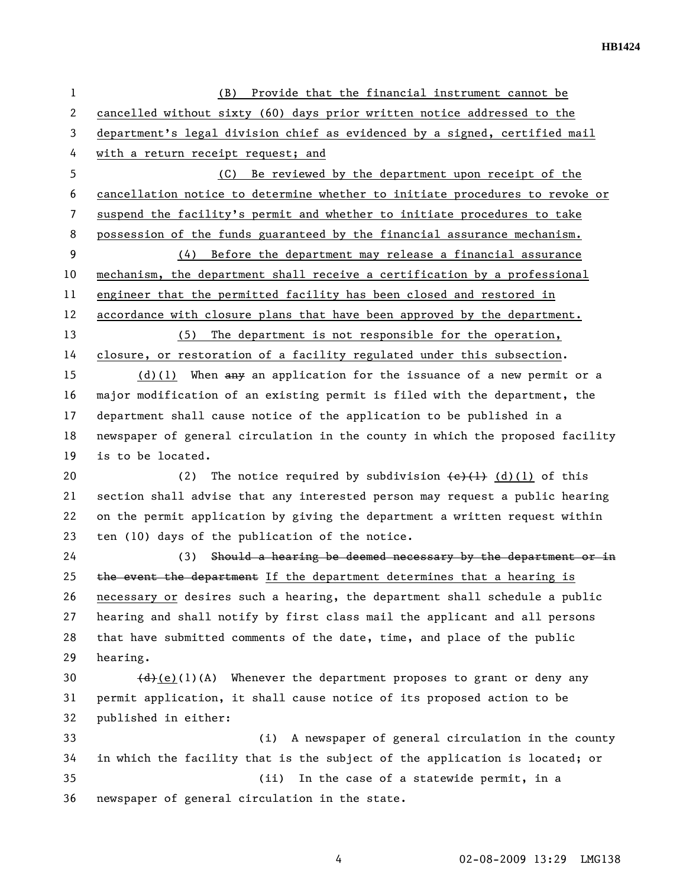**HB1424** 

| $\mathbf{1}$   | Provide that the financial instrument cannot be<br>(B)                                    |
|----------------|-------------------------------------------------------------------------------------------|
| $\overline{2}$ | cancelled without sixty (60) days prior written notice addressed to the                   |
| 3              | department's legal division chief as evidenced by a signed, certified mail                |
| 4              | with a return receipt request; and                                                        |
| 5              | (C)<br>Be reviewed by the department upon receipt of the                                  |
| 6              | cancellation notice to determine whether to initiate procedures to revoke or              |
| $\overline{7}$ | suspend the facility's permit and whether to initiate procedures to take                  |
| 8              | possession of the funds guaranteed by the financial assurance mechanism.                  |
| 9              | (4) Before the department may release a financial assurance                               |
| 10             | mechanism, the department shall receive a certification by a professional                 |
| 11             | engineer that the permitted facility has been closed and restored in                      |
| 12             | accordance with closure plans that have been approved by the department.                  |
| 13             | (5) The department is not responsible for the operation,                                  |
| 14             | closure, or restoration of a facility regulated under this subsection.                    |
| 15             | $(d)(1)$ When any an application for the issuance of a new permit or a                    |
| 16             | major modification of an existing permit is filed with the department, the                |
| 17             | department shall cause notice of the application to be published in a                     |
| 18             | newspaper of general circulation in the county in which the proposed facility             |
| 19             | is to be located.                                                                         |
| 20             | The notice required by subdivision $\left(\frac{e}{1}\right)$ (d)(1) of this<br>(2)       |
| 21             | section shall advise that any interested person may request a public hearing              |
| 22             | on the permit application by giving the department a written request within               |
| 23             | ten (10) days of the publication of the notice.                                           |
| 24             | (3) Should a hearing be deemed necessary by the department or in                          |
| 25             | the event the department If the department determines that a hearing is                   |
| 26             | necessary or desires such a hearing, the department shall schedule a public               |
| 27             | hearing and shall notify by first class mail the applicant and all persons                |
| 28             | that have submitted comments of the date, time, and place of the public                   |
| 29             | hearing.                                                                                  |
| 30             | $\left(\frac{d}{e}(e)(1)(A)\right)$ Whenever the department proposes to grant or deny any |
| 31             | permit application, it shall cause notice of its proposed action to be                    |
| 32             | published in either:                                                                      |
| 33             | A newspaper of general circulation in the county<br>(i)                                   |
| 34             | in which the facility that is the subject of the application is located; or               |
| 35             | In the case of a statewide permit, in a<br>(ii)                                           |
| 36             | newspaper of general circulation in the state.                                            |
|                |                                                                                           |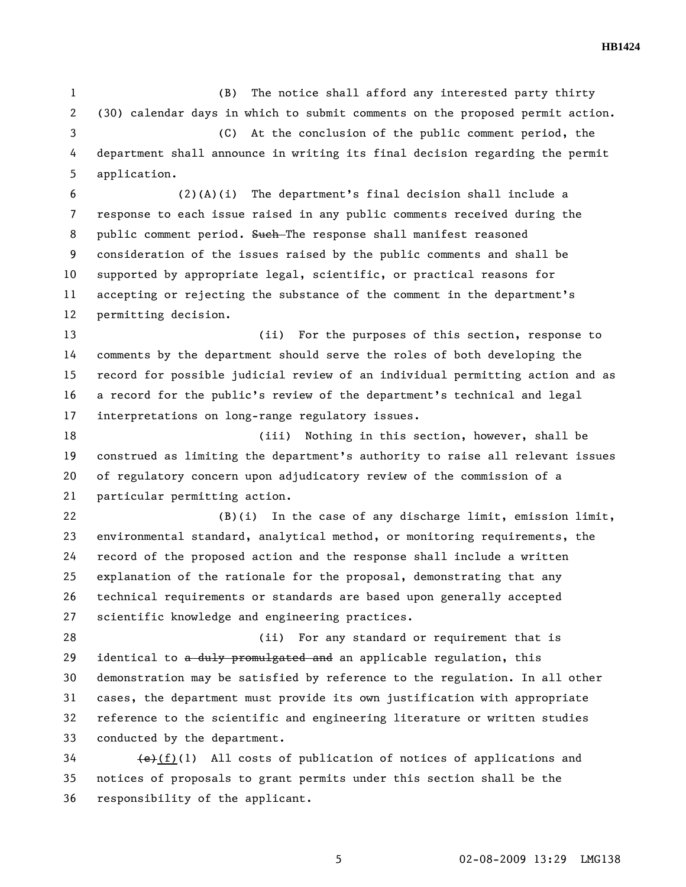1 (B) The notice shall afford any interested party thirty 2 (30) calendar days in which to submit comments on the proposed permit action. 3 (C) At the conclusion of the public comment period, the 4 department shall announce in writing its final decision regarding the permit 5 application. 6 (2)(A)(i) The department's final decision shall include a 7 response to each issue raised in any public comments received during the 8 public comment period. Such-The response shall manifest reasoned 9 consideration of the issues raised by the public comments and shall be 10 supported by appropriate legal, scientific, or practical reasons for 11 accepting or rejecting the substance of the comment in the department's 12 permitting decision. 13 (ii) For the purposes of this section, response to 14 comments by the department should serve the roles of both developing the 15 record for possible judicial review of an individual permitting action and as 16 a record for the public's review of the department's technical and legal 17 interpretations on long-range regulatory issues. 18 (iii) Nothing in this section, however, shall be 19 construed as limiting the department's authority to raise all relevant issues 20 of regulatory concern upon adjudicatory review of the commission of a 21 particular permitting action. 22 (B)(i) In the case of any discharge limit, emission limit, 23 environmental standard, analytical method, or monitoring requirements, the 24 record of the proposed action and the response shall include a written 25 explanation of the rationale for the proposal, demonstrating that any 26 technical requirements or standards are based upon generally accepted 27 scientific knowledge and engineering practices. 28 (ii) For any standard or requirement that is

29 identical to a duly promulgated and an applicable regulation, this 30 demonstration may be satisfied by reference to the regulation. In all other 31 cases, the department must provide its own justification with appropriate 32 reference to the scientific and engineering literature or written studies 33 conducted by the department.

 $\left\{ \frac{1}{2} \right\}$  (f)(1) All costs of publication of notices of applications and 35 notices of proposals to grant permits under this section shall be the 36 responsibility of the applicant.

5 02-08-2009 13:29 LMG138

**HB1424**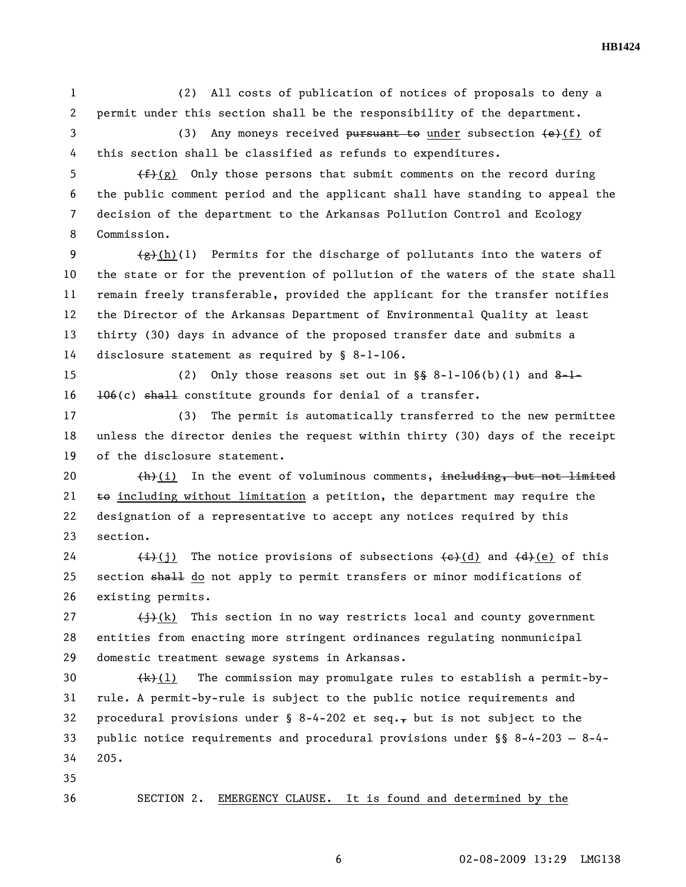1 (2) All costs of publication of notices of proposals to deny a 2 permit under this section shall be the responsibility of the department.

3 (3) Any moneys received pursuant to under subsection  $\left(\frac{e}{f}\right)$  of 4 this section shall be classified as refunds to expenditures.

5  $\leftarrow$   $\leftarrow$   $\leftarrow$  (g) Only those persons that submit comments on the record during 6 the public comment period and the applicant shall have standing to appeal the 7 decision of the department to the Arkansas Pollution Control and Ecology 8 Commission.

9  $\left(\frac{f(x)}{f(x)}(h)(1)\right)$  Permits for the discharge of pollutants into the waters of 10 the state or for the prevention of pollution of the waters of the state shall 11 remain freely transferable, provided the applicant for the transfer notifies 12 the Director of the Arkansas Department of Environmental Quality at least 13 thirty (30) days in advance of the proposed transfer date and submits a 14 disclosure statement as required by § 8-1-106.

15 (2) Only those reasons set out in  $\S$  8-1-106(b)(1) and 8-1- $16$   $106(c)$  shall constitute grounds for denial of a transfer.

17 (3) The permit is automatically transferred to the new permittee 18 unless the director denies the request within thirty (30) days of the receipt 19 of the disclosure statement.

20 (h)(i) In the event of voluminous comments, including, but not limited 21  $\pm$ o including without limitation a petition, the department may require the 22 designation of a representative to accept any notices required by this 23 section.

24  $\leftarrow$   $\leftarrow$   $\leftarrow$   $\leftarrow$  (j) The notice provisions of subsections  $\leftarrow$  (d) and  $\leftarrow$  (e) of this 25 section shall do not apply to permit transfers or minor modifications of 26 existing permits.

27  $\leftarrow$   $\leftarrow$   $\leftarrow$   $\leftarrow$   $\leftarrow$  This section in no way restricts local and county government 28 entities from enacting more stringent ordinances regulating nonmunicipal 29 domestic treatment sewage systems in Arkansas.

30  $(k)(1)$  The commission may promulgate rules to establish a permit-by-31 rule. A permit-by-rule is subject to the public notice requirements and 32 procedural provisions under  $\S$  8-4-202 et seq., but is not subject to the 33 public notice requirements and procedural provisions under §§ 8-4-203 — 8-4- 34 205.

35

## 36 SECTION 2. EMERGENCY CLAUSE. It is found and determined by the

**HB1424**